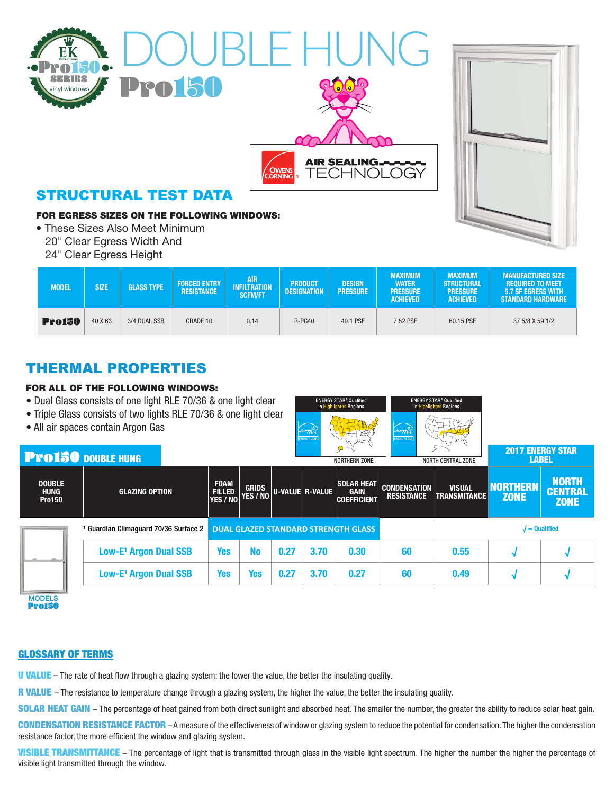



FOR EGRESS SIZES ON THE FOLLOWING WINDOWS:

- These Sizes Also Meet Minimum
- 20" Clear Egress Width And
- 24" Clear Egress Height

| MODEL         | <b>SIZE</b> | <b>GLASS TYPE</b> | <b>FORCED ENTRY</b><br><b>RESISTANCE</b> | <b>AIR</b><br><b>INFILTRATION</b><br><b>SCFM/FT</b> | <b>PRODUCT</b><br><b>DESIGNATION</b> | <b>DESIGN</b><br><b>PRESSURE</b> | <b>MAXIMUM</b><br><b>WATER</b><br><b>PRESSURE</b><br><b>ACHIEVED</b> | <b>MAXIMUM</b><br><b>STRUCTURAL</b><br><b>PRESSURE</b><br><b>ACHIEVED</b> | <b>MANUFACTURED SIZE</b><br><b>REQUIRED TO MEET</b><br><b>5.7 SF EGRESS WITH</b><br><b>STANDARD HARDWARE</b> |  |
|---------------|-------------|-------------------|------------------------------------------|-----------------------------------------------------|--------------------------------------|----------------------------------|----------------------------------------------------------------------|---------------------------------------------------------------------------|--------------------------------------------------------------------------------------------------------------|--|
| <b>Pro150</b> | 40 X 63     | 3/4 DUAL SSB      | GRADE 10                                 | 0.14                                                | R-PG40                               | 40.1 PSF                         | 7.52 PSF                                                             | 60.15 PSF                                                                 | 37 5/8 X 59 1/2                                                                                              |  |

**AIR SEALING.** 

ed Regions

玉地子

FCHNOLOGY

## THERMAL PROPERTIES

### FOR ALL OF THE FOLLOWING WINDOWS:

- Dual Glass consists of one light RLE 70/36 & one light clear
- Triple Glass consists of two lights RLE 70/36 & one light clear
- All air spaces contain Argon Gas

| <b>Pro150 DOUBLE HUNG</b>              |                                     |                                            |                          |                 |      | سمسلب<br>-RTX<br><b>NORTHERN ZONE</b>                  |                                          | A<br>$T_{\rm H}$<br><b>NORTH CENTRAL ZONE</b> | <b>2017 ENERGY STAR</b><br><b>LABEL</b> |                                               |
|----------------------------------------|-------------------------------------|--------------------------------------------|--------------------------|-----------------|------|--------------------------------------------------------|------------------------------------------|-----------------------------------------------|-----------------------------------------|-----------------------------------------------|
| <b>DOUBLE</b><br>HUNG<br><b>Pro150</b> | <b>GLAZING OPTION</b>               | <b>FOAM</b><br><b>FILLED</b><br>YES / NO   | <b>GRIDS</b><br>YES / NO | U-VALUE R-VALUE |      | <b>SOLAR HEAT</b><br><b>GAIN</b><br><b>COEFFICIENT</b> | <b>CONDENSATION</b><br><b>RESISTANCE</b> | <b>VISUAL</b><br><b>TRANSMITANCE</b>          | <b>NORTHERN</b><br><b>ZONE</b>          | <b>NORTH</b><br><b>CENTRAL</b><br><b>ZONE</b> |
|                                        | Guardian Climaguard 70/36 Surface 2 | <b>DUAL GLAZED STANDARD STRENGTH GLASS</b> |                          |                 |      |                                                        | $J =$ Qualified                          |                                               |                                         |                                               |
|                                        | Low-E <sup>1</sup> Argon Dual SSB   | <b>Yes</b>                                 | <b>No</b>                | 0.27            | 3.70 | 0.30                                                   | 60                                       | 0.55                                          |                                         |                                               |
|                                        | Low-E <sup>1</sup> Argon Dual SSB   | Yes                                        | <b>Yes</b>               | 0.27            | 3.70 | 0.27                                                   | 60                                       | 0.49                                          |                                         |                                               |

**MODELS** Pro150

### GLOSSARY OF TERMS

U VALUE – The rate of heat flow through a glazing system: the lower the value, the better the insulating quality.

R VALUE – The resistance to temperature change through a glazing system, the higher the value, the better the insulating quality.

SOLAR HEAT GAIN – The percentage of heat gained from both direct sunlight and absorbed heat. The smaller the number, the greater the ability to reduce solar heat gain.

CONDENSATION RESISTANCE FACTOR - A measure of the effectiveness of window or glazing system to reduce the potential for condensation. The higher the condensation resistance factor, the more efficient the window and glazing system.

VISIBLE TRANSMITTANCE - The percentage of light that is transmitted through glass in the visible light spectrum. The higher the number the higher the percentage of visible light transmitted through the window.